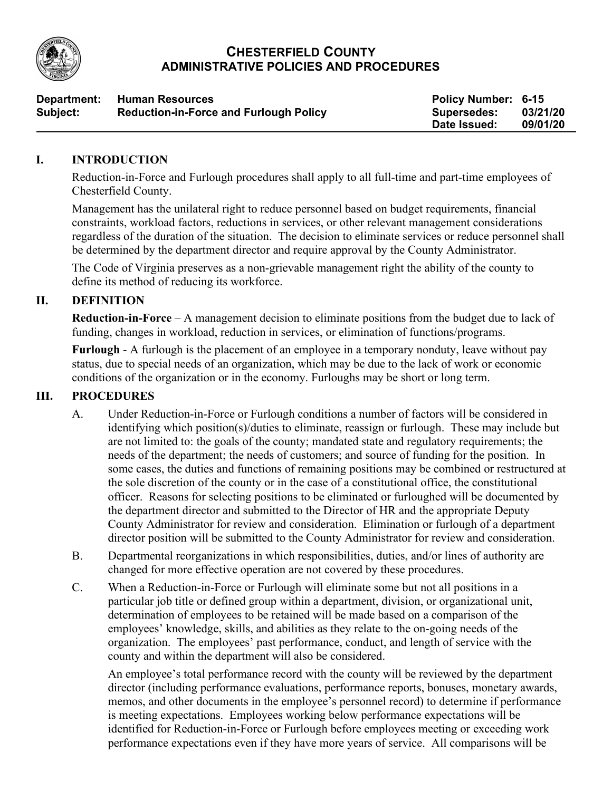

#### **CHESTERFIELD COUNTY ADMINISTRATIVE POLICIES AND PROCEDURES**

| Department: | <b>Human Resources</b>                        | Policy Number: 6-15 |          |
|-------------|-----------------------------------------------|---------------------|----------|
| Subject:    | <b>Reduction-in-Force and Furlough Policy</b> | <b>Supersedes:</b>  | 03/21/20 |
|             |                                               | Date Issued:        | 09/01/20 |

#### **I. INTRODUCTION**

Reduction-in-Force and Furlough procedures shall apply to all full-time and part-time employees of Chesterfield County.

Management has the unilateral right to reduce personnel based on budget requirements, financial constraints, workload factors, reductions in services, or other relevant management considerations regardless of the duration of the situation. The decision to eliminate services or reduce personnel shall be determined by the department director and require approval by the County Administrator.

The Code of Virginia preserves as a non-grievable management right the ability of the county to define its method of reducing its workforce.

## **II. DEFINITION**

**Reduction-in-Force** – A management decision to eliminate positions from the budget due to lack of funding, changes in workload, reduction in services, or elimination of functions/programs.

**Furlough** - A furlough is the placement of an employee in a temporary nonduty, leave without pay status, due to special needs of an organization, which may be due to the lack of work or economic conditions of the organization or in the economy. Furloughs may be short or long term.

## **III. PROCEDURES**

- A. Under Reduction-in-Force or Furlough conditions a number of factors will be considered in identifying which position(s)/duties to eliminate, reassign or furlough. These may include but are not limited to: the goals of the county; mandated state and regulatory requirements; the needs of the department; the needs of customers; and source of funding for the position. In some cases, the duties and functions of remaining positions may be combined or restructured at the sole discretion of the county or in the case of a constitutional office, the constitutional officer. Reasons for selecting positions to be eliminated or furloughed will be documented by the department director and submitted to the Director of HR and the appropriate Deputy County Administrator for review and consideration. Elimination or furlough of a department director position will be submitted to the County Administrator for review and consideration.
- B. Departmental reorganizations in which responsibilities, duties, and/or lines of authority are changed for more effective operation are not covered by these procedures.
- C. When a Reduction-in-Force or Furlough will eliminate some but not all positions in a particular job title or defined group within a department, division, or organizational unit, determination of employees to be retained will be made based on a comparison of the employees' knowledge, skills, and abilities as they relate to the on-going needs of the organization. The employees' past performance, conduct, and length of service with the county and within the department will also be considered.

An employee's total performance record with the county will be reviewed by the department director (including performance evaluations, performance reports, bonuses, monetary awards, memos, and other documents in the employee's personnel record) to determine if performance is meeting expectations. Employees working below performance expectations will be identified for Reduction-in-Force or Furlough before employees meeting or exceeding work performance expectations even if they have more years of service. All comparisons will be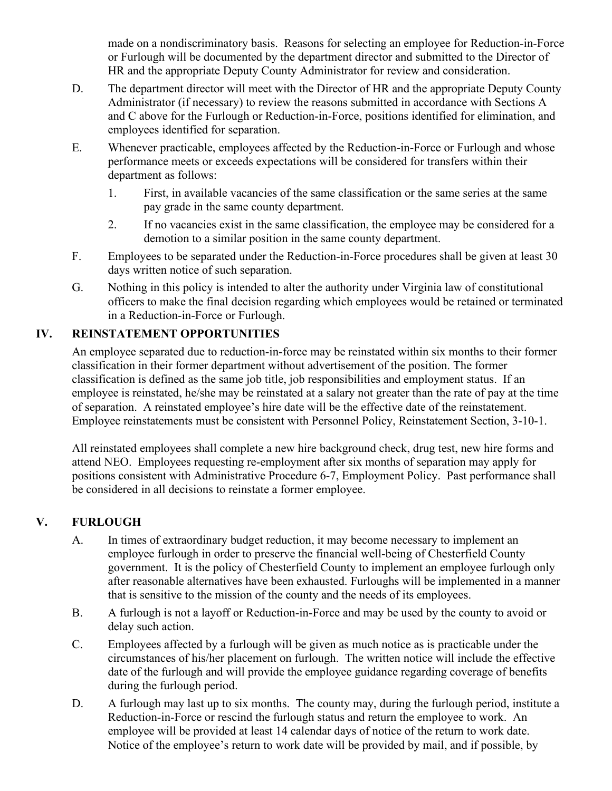made on a nondiscriminatory basis. Reasons for selecting an employee for Reduction-in-Force or Furlough will be documented by the department director and submitted to the Director of HR and the appropriate Deputy County Administrator for review and consideration.

- D. The department director will meet with the Director of HR and the appropriate Deputy County Administrator (if necessary) to review the reasons submitted in accordance with Sections A and C above for the Furlough or Reduction-in-Force, positions identified for elimination, and employees identified for separation.
- E. Whenever practicable, employees affected by the Reduction-in-Force or Furlough and whose performance meets or exceeds expectations will be considered for transfers within their department as follows:
	- 1. First, in available vacancies of the same classification or the same series at the same pay grade in the same county department.
	- 2. If no vacancies exist in the same classification, the employee may be considered for a demotion to a similar position in the same county department.
- F. Employees to be separated under the Reduction-in-Force procedures shall be given at least 30 days written notice of such separation.
- G. Nothing in this policy is intended to alter the authority under Virginia law of constitutional officers to make the final decision regarding which employees would be retained or terminated in a Reduction-in-Force or Furlough.

## **IV. REINSTATEMENT OPPORTUNITIES**

An employee separated due to reduction-in-force may be reinstated within six months to their former classification in their former department without advertisement of the position. The former classification is defined as the same job title, job responsibilities and employment status. If an employee is reinstated, he/she may be reinstated at a salary not greater than the rate of pay at the time of separation. A reinstated employee's hire date will be the effective date of the reinstatement. Employee reinstatements must be consistent with Personnel Policy, Reinstatement Section, 3-10-1.

All reinstated employees shall complete a new hire background check, drug test, new hire forms and attend NEO. Employees requesting re-employment after six months of separation may apply for positions consistent with Administrative Procedure 6-7, Employment Policy. Past performance shall be considered in all decisions to reinstate a former employee.

# **V. FURLOUGH**

- A. In times of extraordinary budget reduction, it may become necessary to implement an employee furlough in order to preserve the financial well-being of Chesterfield County government. It is the policy of Chesterfield County to implement an employee furlough only after reasonable alternatives have been exhausted. Furloughs will be implemented in a manner that is sensitive to the mission of the county and the needs of its employees.
- B. A furlough is not a layoff or Reduction-in-Force and may be used by the county to avoid or delay such action.
- C. Employees affected by a furlough will be given as much notice as is practicable under the circumstances of his/her placement on furlough. The written notice will include the effective date of the furlough and will provide the employee guidance regarding coverage of benefits during the furlough period.
- D. A furlough may last up to six months. The county may, during the furlough period, institute a Reduction-in-Force or rescind the furlough status and return the employee to work. An employee will be provided at least 14 calendar days of notice of the return to work date. Notice of the employee's return to work date will be provided by mail, and if possible, by